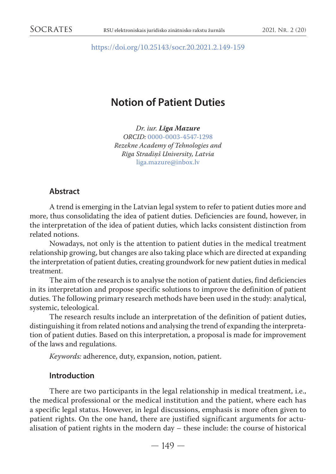<https://doi.org/10.25143/socr.20.2021.2.149-159>

# **Notion of Patient Duties**

*Dr. iur. Līga Mazure ORCID:* [0000-0003-4547-1298](https://orcid.org/0000-0003-4547-1298) *Rezekne Academy of Tehnologies a[n](mailto:liga.mazure@inbox.lv)d Rīga Stradiņš University, Latvia*  [liga.mazure@inbox.lv](mailto:liga.mazure@inbox.lv)

### **Abstract**

A trend is emerging in the Latvian legal system to refer to patient duties more and more, thus consolidating the idea of patient duties. Deficiencies are found, however, in the interpretation of the idea of patient duties, which lacks consistent distinction from related notions.

Nowadays, not only is the attention to patient duties in the medical treatment relationship growing, but changes are also taking place which are directed at expanding the interpretation of patient duties, creating groundwork for new patient duties in medical treatment.

The aim of the research is to analyse the notion of patient duties, find deficiencies in its interpretation and propose specific solutions to improve the definition of patient duties. The following primary research methods have been used in the study: analytical, systemic, teleological.

The research results include an interpretation of the definition of patient duties, distinguishing it from related notions and analysing the trend of expanding the interpretation of patient duties. Based on this interpretation, a proposal is made for improvement of the laws and regulations.

*Keywords:* adherence, duty, expansion, notion, patient.

### **Introduction**

There are two participants in the legal relationship in medical treatment, i.e., the medical professional or the medical institution and the patient, where each has a specific legal status. However, in legal discussions, emphasis is more often given to patient rights. On the one hand, there are justified significant arguments for actualisation of patient rights in the modern day – these include: the course of historical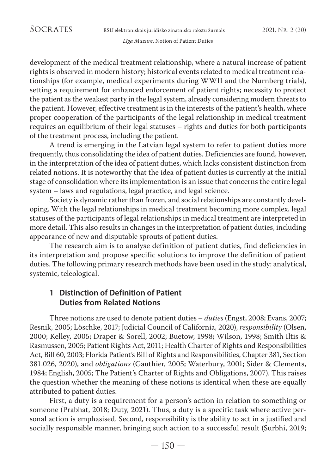development of the medical treatment relationship, where a natural increase of patient rights is observed in modern history; historical events related to medical treatment relationships (for example, medical experiments during WWII and the Nurnberg trials), setting a requirement for enhanced enforcement of patient rights; necessity to protect the patient as the weakest party in the legal system, already considering modern threats to the patient. However, effective treatment is in the interests of the patient's health, where proper cooperation of the participants of the legal relationship in medical treatment requires an equilibrium of their legal statuses – rights and duties for both participants of the treatment process, including the patient.

A trend is emerging in the Latvian legal system to refer to patient duties more frequently, thus consolidating the idea of patient duties. Deficiencies are found, however, in the interpretation of the idea of patient duties, which lacks consistent distinction from related notions. It is noteworthy that the idea of patient duties is currently at the initial stage of consolidation where its implementation is an issue that concerns the entire legal system – laws and regulations, legal practice, and legal science.

Society is dynamic rather than frozen, and social relationships are constantly developing. With the legal relationships in medical treatment becoming more complex, legal statuses of the participants of legal relationships in medical treatment are interpreted in more detail. This also results in changes in the interpretation of patient duties, including appearance of new and disputable sprouts of patient duties.

The research aim is to analyse definition of patient duties, find deficiencies in its interpretation and propose specific solutions to improve the definition of patient duties. The following primary research methods have been used in the study: analytical, systemic, teleological.

# **1 Distinction of Definition of Patient Duties from Related Notions**

Three notions are used to denote patient duties – *duties* (Engst, 2008; Evans, 2007; Resnik, 2005; Löschke, 2017; Judicial Council of California, 2020), *responsibility* (Olsen, 2000; Kelley, 2005; Draper & Sorell, 2002; Buetow, 1998; Wilson, 1998; Smith Iltis & Rasmussen, 2005; Patient Rights Act, 2011; Health Charter of Rights and Responsibilities Act, Bill 60, 2003; Florida Patient's Bill of Rights and Responsibilities, Chapter 381, Section 381.026, 2020), and *obligations* (Gauthier, 2005; Waterbury, 2001; Sider & Clements, 1984; English, 2005; The Patient's Charter of Rights and Obligations, 2007). This raises the question whether the meaning of these notions is identical when these are equally attributed to patient duties.

First, a duty is a requirement for a person's action in relation to something or someone (Prabhat, 2018; Duty, 2021). Thus, a duty is a specific task where active personal action is emphasised. Second, responsibility is the ability to act in a justified and socially responsible manner, bringing such action to a successful result (Surbhi, 2019;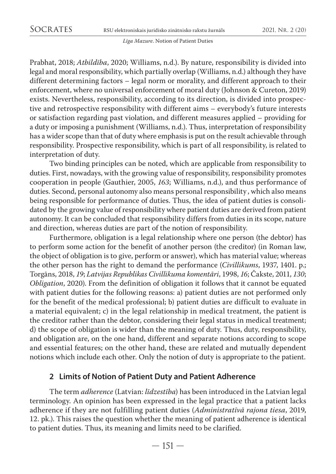Prabhat, 2018; *Atbildība*, 2020; Williams, n.d.). By nature, responsibility is divided into legal and moral responsibility, which partially overlap (Williams, n.d.) although they have different determining factors – legal norm or morality, and different approach to their enforcement, where no universal enforcement of moral duty (Johnson & Cureton, 2019) exists. Nevertheless, responsibility, according to its direction, is divided into prospective and retrospective responsibility with different aims – everybody's future interests or satisfaction regarding past violation, and different measures applied – providing for a duty or imposing a punishment (Williams, n.d.). Thus, interpretation of responsibility has a wider scope than that of duty where emphasis is put on the result achievable through responsibility. Prospective responsibility, which is part of all responsibility, is related to interpretation of duty.

Two binding principles can be noted, which are applicable from responsibility to duties. First, nowadays, with the growing value of responsibility, responsibility promotes cooperation in people (Gauthier, 2005, *163*; Williams, n.d.), and thus performance of duties. Second, personal autonomy also means personal responsibility , which also means being responsible for performance of duties. Thus, the idea of patient duties is consolidated by the growing value of responsibility where patient duties are derived from patient autonomy. It can be concluded that responsibility differs from duties in its scope, nature and direction, whereas duties are part of the notion of responsibility.

Furthermore, obligation is a legal relationship where one person (the debtor) has to perform some action for the benefit of another person (the creditor) (in Roman law, the object of obligation is to give, perform or answer), which has material value; whereas the other person has the right to demand the performance (*Civillikums*, 1937, 1401. p.; Torgāns, 2018, *19*; *Latvijas Republikas Civillikuma komentāri*, 1998, *16*; Čakste, 2011, *130*; *Obligation*, 2020). From the definition of obligation it follows that it cannot be equated with patient duties for the following reasons: a) patient duties are not performed only for the benefit of the medical professional; b) patient duties are difficult to evaluate in a material equivalent; c) in the legal relationship in medical treatment, the patient is the creditor rather than the debtor, considering their legal status in medical treatment; d) the scope of obligation is wider than the meaning of duty. Thus, duty, responsibility, and obligation are, on the one hand, different and separate notions according to scope and essential features; on the other hand, these are related and mutually dependent notions which include each other. Only the notion of duty is appropriate to the patient.

## **2 Limits of Notion of Patient Duty and Patient Adherence**

The term *adherence* (Latvian: *līdzestība*) has been introduced in the Latvian legal terminology. An opinion has been expressed in the legal practice that a patient lacks adherence if they are not fulfilling patient duties (*Administratīvā rajona tiesa*, 2019, 12. pk.). This raises the question whether the meaning of patient adherence is identical to patient duties. Thus, its meaning and limits need to be clarified.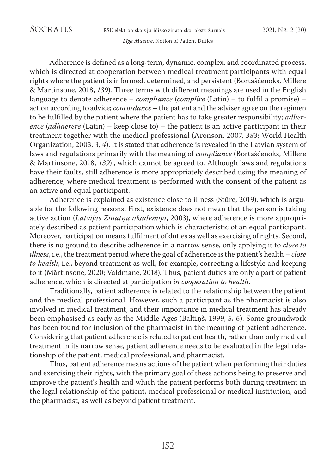Adherence is defined as a long-term, dynamic, complex, and coordinated process, which is directed at cooperation between medical treatment participants with equal rights where the patient is informed, determined, and persistent (Bortaščenoks, Millere & Mārtinsone, 2018, *139*). Three terms with different meanings are used in the English language to denote adherence – *compliance* (*complire* (Latin) – to fulfil a promise) – action according to advice; *concordance* – the patient and the adviser agree on the regimen to be fulfilled by the patient where the patient has to take greater responsibility; *adherence* (*adhaerere* (Latin) – keep close to) – the patient is an active participant in their treatment together with the medical professional (Aronson, 2007, *383*; World Health Organization, 2003, *3, 4*). It is stated that adherence is revealed in the Latvian system of laws and regulations primarily with the meaning of *compliance* (Bortaščenoks, Millere & Mārtinsone, 2018, *139*) , which cannot be agreed to. Although laws and regulations have their faults, still adherence is more appropriately described using the meaning of adherence, where medical treatment is performed with the consent of the patient as an active and equal participant.

Adherence is explained as existence close to illness (Stūre, 2019), which is arguable for the following reasons. First, existence does not mean that the person is taking active action (*Latvijas Zinātņu akadēmija*, 2003), where adherence is more appropriately described as patient participation which is characteristic of an equal participant. Moreover, participation means fulfilment of duties as well as exercising of rights. Second, there is no ground to describe adherence in a narrow sense, only applying it to *close to illness*, i.e., the treatment period where the goal of adherence is the patient's health – *close to health*, i.e., beyond treatment as well, for example, correcting a lifestyle and keeping to it (Mārtinsone, 2020; Valdmane, 2018). Thus, patient duties are only a part of patient adherence, which is directed at participation *in cooperation to health*.

Traditionally, patient adherence is related to the relationship between the patient and the medical professional. However, such a participant as the pharmacist is also involved in medical treatment, and their importance in medical treatment has already been emphasised as early as the Middle Ages (Baltiņš, 1999, *5, 6*). Some groundwork has been found for inclusion of the pharmacist in the meaning of patient adherence. Considering that patient adherence is related to patient health, rather than only medical treatment in its narrow sense, patient adherence needs to be evaluated in the legal relationship of the patient, medical professional, and pharmacist.

Thus, patient adherence means actions of the patient when performing their duties and exercising their rights, with the primary goal of these actions being to preserve and improve the patient's health and which the patient performs both during treatment in the legal relationship of the patient, medical professional or medical institution, and the pharmacist, as well as beyond patient treatment.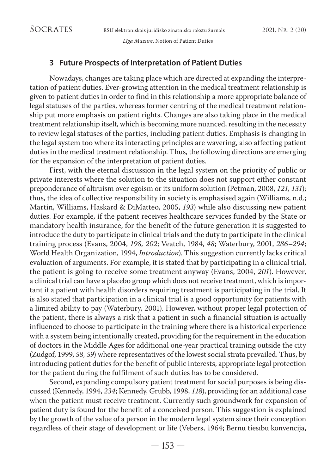# **3 Future Prospects of Interpretation of Patient Duties**

Nowadays, changes are taking place which are directed at expanding the interpretation of patient duties. Ever-growing attention in the medical treatment relationship is given to patient duties in order to find in this relationship a more appropriate balance of legal statuses of the parties, whereas former centring of the medical treatment relationship put more emphasis on patient rights. Changes are also taking place in the medical treatment relationship itself, which is becoming more nuanced, resulting in the necessity to review legal statuses of the parties, including patient duties. Emphasis is changing in the legal system too where its interacting principles are wavering, also affecting patient duties in the medical treatment relationship. Thus, the following directions are emerging for the expansion of the interpretation of patient duties.

First, with the eternal discussion in the legal system on the priority of public or private interests where the solution to the situation does not support either constant preponderance of altruism over egoism or its uniform solution (Petman, 2008, *121, 131*); thus, the idea of collective responsibility in society is emphasised again (Williams, n.d.; Martin, Williams, Haskard & DiMatteo, 2005, *193*) while also discussing new patient duties. For example, if the patient receives healthcare services funded by the State or mandatory health insurance, for the benefit of the future generation it is suggested to introduce the duty to participate in clinical trials and the duty to participate in the clinical training process (Evans, 2004, *198, 202*; Veatch, 1984, *48*; Waterbury, 2001, *286–294*; World Health Organization, 1994, *Introduction*). This suggestion currently lacks critical evaluation of arguments. For example, it is stated that by participating in a clinical trial, the patient is going to receive some treatment anyway (Evans, 2004, *201*). However, a clinical trial can have a placebo group which does not receive treatment, which is important if a patient with health disorders requiring treatment is participating in the trial. It is also stated that participation in a clinical trial is a good opportunity for patients with a limited ability to pay (Waterbury, 2001). However, without proper legal protection of the patient, there is always a risk that a patient in such a financial situation is actually influenced to choose to participate in the training where there is a historical experience with a system being intentionally created, providing for the requirement in the education of doctors in the Middle Ages for additional one-year practical training outside the city (Zudgof, 1999, *58, 59*) where representatives of the lowest social strata prevailed. Thus, by introducing patient duties for the benefit of public interests, appropriate legal protection for the patient during the fulfilment of such duties has to be considered.

Second, expanding compulsory patient treatment for social purposes is being discussed (Kennedy, 1994, *234*; Kennedy, Grubb, 1998, *118*), providing for an additional case when the patient must receive treatment. Currently such groundwork for expansion of patient duty is found for the benefit of a conceived person.This suggestion is explained by the growth of the value of a person in the modern legal system since their conception regardless of their stage of development or life (Vebers, 1964; Bērnu tiesību konvencija,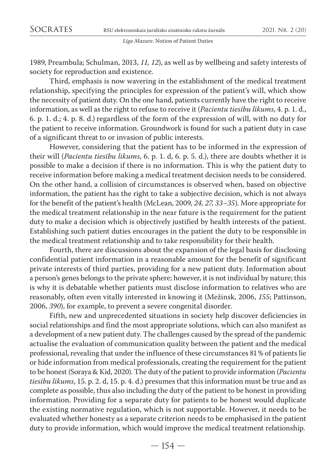1989, Preambula; Schulman, 2013, *11, 12*), as well as by wellbeing and safety interests of society for reproduction and existence.

Third, emphasis is now wavering in the establishment of the medical treatment relationship, specifying the principles for expression of the patient's will, which show the necessity of patient duty. On the one hand, patients currently have the right to receive information, as well as the right to refuse to receive it (*Pacientu tiesību likums*, 4. p. 1. d., 6. p. 1. d.; 4. p. 8. d.) regardless of the form of the expression of will, with no duty for the patient to receive information. Groundwork is found for such a patient duty in case of a significant threat to or invasion of public interests.

However, considering that the patient has to be informed in the expression of their will (*Pacientu tiesību likums*, 6. p. 1. d, 6. p. 5. d.), there are doubts whether it is possible to make a decision if there is no information. This is why the patient duty to receive information before making a medical treatment decision needs to be considered. On the other hand, a collision of circumstances is observed when, based on objective information, the patient has the right to take a subjective decision, which is not always for the benefit of the patient's health (McLean, 2009, *24, 27, 33–35*). More appropriate for the medical treatment relationship in the near future is the requirement for the patient duty to make a decision which is objectively justified by health interests of the patient. Establishing such patient duties encourages in the patient the duty to be responsible in the medical treatment relationship and to take responsibility for their health.

Fourth, there are discussions about the expansion of the legal basis for disclosing confidential patient information in a reasonable amount for the benefit of significant private interests of third parties, providing for a new patient duty. Information about a person's genes belongs to the private sphere; however, it is not individual by nature; this is why it is debatable whether patients must disclose information to relatives who are reasonably, often even vitally interested in knowing it (Mežinsk, 2006, *155*; Pattinson, 2006, *390*), for example, to prevent a severe congenital disorder.

Fifth, new and unprecedented situations in society help discover deficiencies in social relationships and find the most appropriate solutions, which can also manifest as a development of a new patient duty. The challenges caused by the spread of the pandemic actualise the evaluation of communication quality between the patient and the medical professional, revealing that under the influence of these circumstances 81% of patients lie or hide information from medical professionals, creating the requirement for the patient to be honest (Soraya & Kid, 2020). The duty of the patient to provide information (*Pacientu tiesību likums*, 15. p. 2. d, 15. p. 4. d.) presumes that this information must be true and as complete as possible, thus also including the duty of the patient to be honest in providing information. Providing for a separate duty for patients to be honest would duplicate the existing normative regulation, which is not supportable. However, it needs to be evaluated whether honesty as a separate criterion needs to be emphasised in the patient duty to provide information, which would improve the medical treatment relationship.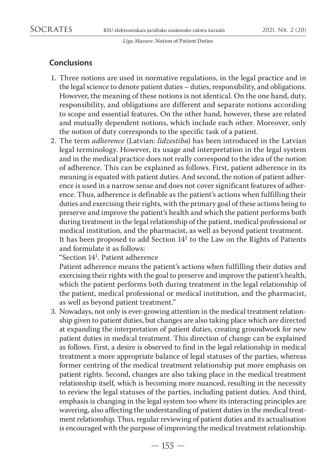# **Conclusions**

- 1. Three notions are used in normative regulations, in the legal practice and in the legal science to denote patient duties – duties, responsibility, and obligations. However, the meaning of these notions is not identical. On the one hand, duty, responsibility, and obligations are different and separate notions according to scope and essential features. On the other hand, however, these are related and mutually dependent notions, which include each other. Moreover, only the notion of duty corresponds to the specific task of a patient.
- 2. The term *adherence* (Latvian: *līdzestība*) has been introduced in the Latvian legal terminology. However, its usage and interpretation in the legal system and in the medical practice does not really correspond to the idea of the notion of adherence. This can be explained as follows. First, patient adherence in its meaning is equated with patient duties. And second, the notion of patient adherence is used in a narrow sense and does not cover significant features of adherence. Thus, adherence is definable as the patient's actions when fulfilling their duties and exercising their rights, with the primary goal of these actions being to preserve and improve the patient's health and which the patient performs both during treatment in the legal relationship of the patient, medical professional or medical institution, and the pharmacist, as well as beyond patient treatment. It has been proposed to add Section  $14<sup>1</sup>$  to the Law on the Rights of Patients and formulate it as follows:

"Section 141. Patient adherence

 Patient adherence means the patient's actions when fulfilling their duties and exercising their rights with the goal to preserve and improve the patient's health, which the patient performs both during treatment in the legal relationship of the patient, medical professional or medical institution, and the pharmacist, as well as beyond patient treatment."

3. Nowadays, not only is ever-growing attention in the medical treatment relationship given to patient duties, but changes are also taking place which are directed at expanding the interpretation of patient duties, creating groundwork for new patient duties in medical treatment. This direction of change can be explained as follows. First, a desire is observed to find in the legal relationship in medical treatment a more appropriate balance of legal statuses of the parties, whereas former centring of the medical treatment relationship put more emphasis on patient rights. Second, changes are also taking place in the medical treatment relationship itself, which is becoming more nuanced, resulting in the necessity to review the legal statuses of the parties, including patient duties. And third, emphasis is changing in the legal system too where its interacting principles are wavering, also affecting the understanding of patient duties in the medical treatment relationship. Thus, regular reviewing of patient duties and its actualisation is encouraged with the purpose of improving the medical treatment relationship.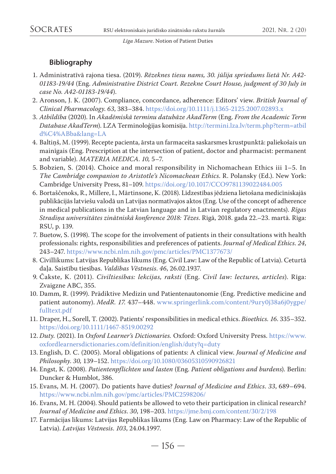### **Bibliography**

- 1. Administratīvā rajona tiesa. (2019). *Rēzeknes tiesu nams, 30. jūlija spriedums lietā Nr. A42- 01183-19/44* (Eng. *Administrative District Court. Rezekne Court House, judgment of 30 July in case No. A42-01183-19/44*).
- 2. Aronson, J. K. (2007). Compliance, concordance, adherence: Editors' view. *British Journal of Clinical Pharmacology*. *63*, 383–384.<https://doi.org/10.1111/j.1365-2125.2007.02893.x>
- 3. *Atbildība* (2020). In *Akadēmiskā terminu datubāze AkadTerm* (Eng. *From the Academic Term Database AkadTerm*). LZA Terminoloģijas komisija. [http://termini.lza.lv/term.php?term=atbil](http://termini.lza.lv/term.php?term=atbild%C4%ABba&lang=LA) [d%C4%ABba&lang=LA](http://termini.lza.lv/term.php?term=atbild%C4%ABba&lang=LA)
- 4. Baltiņš, M. (1999). Recepte pacienta, ārsta un farmaceita saskarsmes krustpunktā: paliekošais un mainīgais (Eng. Prescription at the intersection of patient, doctor and pharmacist: permanent and variable). *MATERIA MEDICA*. *10,* 5–7.
- 5. Bobzien, S. (2014). Choice and moral responsibility in Nichomachean Ethics iii 1–5. In *The Cambridge companion to Aristotle's Nicomachean Ethics*. R. Polansky (Ed.). New York: Cambridge University Press, 81–109.<https://doi.org/10.1017/CCO9781139022484.005>
- 6. Bortaščenoks, R., Millere, I., Mārtinsone, K. (2018). Līdzestības jēdziena lietošana medicīniskajās publikācijās latviešu valodā un Latvijas normatīvajos aktos (Eng. Use of the concept of adherence in medical publications in the Latvian language and in Latvian regulatory enactments). *Rīgas Stradiņa universitātes zinātniskā konference 2018: Tēzes*. Rīgā, 2018. gada 22.–23. martā. Rīga: RSU, p. 139.
- 7. Buetow, S. (1998). The scope for the involvement of patients in their consultations with health professionals: rights, responsibilities and preferences of patients. *Journal of Medical Ethics*. *24*, 243–247. <https://www.ncbi.nlm.nih.gov/pmc/articles/PMC1377673/>
- 8. Civillikums: Latvijas Republikas likums (Eng. Civil Law: Law of the Republic of Latvia). Ceturtā daļa. Saistību tiesības. *Valdības Vēstnesis*. *46*, 26.02.1937.
- 9. Čakste, K. (2011). *Civiltiesības: lekcijas, raksti* (Eng. *Civil law: lectures, articles*). Rīga: Zvaigzne ABC, 355.
- 10. Damm, R. (1999). Prädiktive Medizin und Patientenautonomie (Eng. Predictive medicine and patient autonomy). *MedR. 17.* 437–448. [www.springerlink.com/content/9ury0j38a6j0ygpe/](http://www.springerlink.com/content/9ury0j38a6j0ygpe/fulltext.pdf) [fulltext.pdf](http://www.springerlink.com/content/9ury0j38a6j0ygpe/fulltext.pdf)
- 11. Draper, H., Sorell, T. (2002). Patients' responsibilities in medical ethics. *Bioethics. 16*. 335–352. <https://doi.org/10.1111/1467-8519.00292>
- 12. *Duty.* (2021). In *Oxford Learner's Dictionaries.* Oxford: Oxford University Press. [https://www.](https://www.oxfordlearnersdictionaries.com/definition/english/duty?q=duty) [oxfordlearnersdictionaries.com/definition/english/duty?q=duty](https://www.oxfordlearnersdictionaries.com/definition/english/duty?q=duty)
- 13. English, D. C. (2005). Moral obligations of patients: A clinical view. *Journal of Medicine and Philosophy*. *30,* 139–152. <https://doi.org/10.1080/03605310590926821>
- 14. Engst, K. (2008). *Patientenpflichten und lasten* (Eng. *Patient obligations and burdens*). Berlin: Duncker & Humblot, 386.
- 15. Evans, M. H. (2007). Do patients have duties? *Journal of Medicine and Ethics*. *33*, 689–694. <https://www.ncbi.nlm.nih.gov/pmc/articles/PMC2598206/>
- 16. Evans, M. H. (2004). Should patients be allowed to veto their participation in clinical research? *Journal of Medicine and Ethics*. *30*, 198–203. <https://jme.bmj.com/content/30/2/198>
- 17. Farmācijas likums: Latvijas Republikas likums (Eng. Law on Pharmacy: Law of the Republic of Latvia). *Latvijas Vēstnesis*. *103*, 24.04.1997.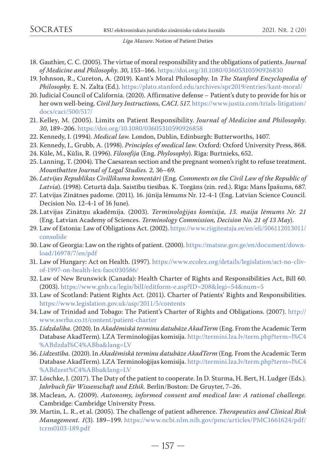- 18. Gauthier, C. C. (2005). The virtue of moral responsibility and the obligations of patients. *Journal of Medicine and Philosophy*. *30*, 153–166.<https://doi.org/10.1080/03605310590926830>
- 19. Johnson, R., Cureton, A. (2019). Kant's Moral Philosophy. In *The Stanford Encyclopedia of Philosophy.* E. N. Zalta (Ed.). <https://plato.stanford.edu/archives/spr2019/entries/kant-moral/>
- 20. Judicial Council of California. (2020). Affirmative defense Patient's duty to provide for his or her own well-being. *Civil Jury Instructions*, *CACI*. *517*. [https://www.justia.com/trials-litigation/](https://www.justia.com/trials-litigation/docs/caci/500/517/) [docs/caci/500/517/](https://www.justia.com/trials-litigation/docs/caci/500/517/)
- 21. Kelley, M. (2005). Limits on Patient Responsibility. *Journal of Medicine and Philosophy*. *30*, 189–206.<https://doi.org/10.1080/03605310590926858>
- 22. Kennedy, I. (1994). *Medical law.* London, Dublin, Edinburgh: Butterworths, 1407.
- 23. Kennedy, I., Grubb, A. (1998). *Principles of medical law.* Oxford: Oxford University Press, 868.
- 24. Kūle, M., Kūlis, R. (1996). *Filosofija* (Eng. *Phylosophy*). Rīga: Burtnieks, 652.
- 25. Lanning, T. (2004). The Caesarean section and the pregnant women's right to refuse treatment. *Mountbatten Journal of Legal Studies. 2,* 36–69.
- 26. *Latvijas Republikas Civillikuma komentāri* (Eng. *Comments on the Civil Law of the Republic of Latvia*). (1998). Ceturtā daļa. Saistību tiesības. K. Torgāns (zin. red.). Rīga: Mans Īpašums, 687.
- 27. Latvijas Zinātnes padome. (2011). 16. jūnija lēmums Nr. 12-4-1 (Eng. Latvian Science Council. Decision No. 12-4-1 of 16 June).
- 28. Latvijas Zinātņu akadēmija. (2003). *Terminoloģijas komisija, 13. maija lēmums Nr. 21* (Eng. Latvian Academy of Sciences. *Terminology Commission, Decision No. 21 of 13 May*).
- 29. Law of Estonia: Law of Obligations Act. (2002). [https://www.riigiteataja.ee/en/eli/506112013011/](https://www.riigiteataja.ee/en/eli/506112013011/consolide) [consolide](https://www.riigiteataja.ee/en/eli/506112013011/consolide)
- 30. Law of Georgia: Law on the rights of patient. (2000). [https://matsne.gov.ge/en/document/down](https://matsne.gov.ge/en/document/download/16978/7/en/pdf)[load/16978/7/en/pdf](https://matsne.gov.ge/en/document/download/16978/7/en/pdf)
- 31. Law of Hungary: Act on Health. (1997). [https://www.ecolex.org/details/legislation/act-no-cliv](https://www.ecolex.org/details/legislation/act-no-cliv-of-1997-on-health-lex-faoc030586/)[of-1997-on-health-lex-faoc030586/](https://www.ecolex.org/details/legislation/act-no-cliv-of-1997-on-health-lex-faoc030586/)
- 32. Law of New Brunswick (Canada): Health Charter of Rights and Responsibilities Act, Bill 60. (2003).<https://www.gnb.ca/legis/bill/editform-e.asp?ID=208&legi=54&num=5>
- 33. Law of Scotland: Patient Rights Act. (2011). Charter of Patients' Rights and Responsibilities. <https://www.legislation.gov.uk/asp/2011/5/contents>
- 34. Law of Trinidad and Tobago: The Patient's Charter of Rights and Obligations. (2007). [http://](http://www.swrha.co.tt/content/patient-charter) [www.swrha.co.tt/content/patient-charter](http://www.swrha.co.tt/content/patient-charter)
- 35. *Līdzdalība.* (2020). In *Akadēmiskā terminu datubāze AkadTerm* (Eng. From the Academic Term Database AkadTerm). LZA Terminoloģijas komisija. [http://termini.lza.lv/term.php?term=l%C4](http://termini.lza.lv/term.php?term=l%C4%ABdzdal%C4%ABba&lang=LV) [%ABdzdal%C4%ABba&lang=LV](http://termini.lza.lv/term.php?term=l%C4%ABdzdal%C4%ABba&lang=LV)
- 36. *Līdzestība.* (2020). In *Akadēmiskā terminu datubāze AkadTerm* (Eng. From the Academic Term Database AkadTerm). LZA Terminoloģijas komisija. [http://termini.lza.lv/term.php?term=l%C4](http://termini.lza.lv/term.php?term=l%C4%ABdzest%C4%ABba&lang=LV) [%ABdzest%C4%ABba&lang=LV](http://termini.lza.lv/term.php?term=l%C4%ABdzest%C4%ABba&lang=LV)
- 37. Löschke, J. (2017). The Duty of the patient to cooperate. In D. Sturma, H. Bert, H. Ludger (Eds.). *Jahrbuch für Wissenschaft und Ethik.* Berlin/Boston: De Gruyter, 7–26.
- 38. Maclean, A. (2009). *Autonomy, informed consent and medical law: A rational challenge.* Cambridge: Cambridge University Press.
- 39. Martin, L. R., et al. (2005). The challenge of patient adherence. *Therapeutics and Clinical Risk Management. 1*(3). 189–199. [https://www.ncbi.nlm.nih.gov/pmc/articles/PMC1661624/pdf/](https://www.ncbi.nlm.nih.gov/pmc/articles/PMC1661624/pdf/tcrm0103-189.pdf) [tcrm0103-189.pdf](https://www.ncbi.nlm.nih.gov/pmc/articles/PMC1661624/pdf/tcrm0103-189.pdf)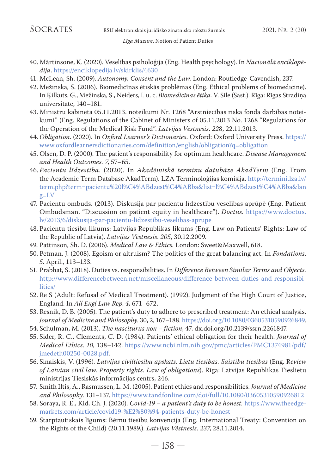- 40. Mārtinsone, K. (2020). Veselības psiholoģija (Eng. Health psychology). In *Nacionālā enciklopēdija*.<https://enciklopedija.lv/skirklis/4630>
- 41. McLean, Sh. (2009). *Autonomy, Consent and the Law.* London: Routledge-Cavendish, 237.
- 42. Mežinska, S. (2006). Biomedicīnas ētiskās problēmas (Eng. Ethical problems of biomedicine). In Ķilkuts, G., Mežinska, S., Neiders, I. u. c. *Biomedicīnas ētika.* V. Sīle (Sast.). Rīga: Rīgas Stradiņa universitāte, 140–181.
- 43. Ministru kabineta 05.11.2013. noteikumi Nr. 1268 "Ārstniecības riska fonda darbības noteikumi" (Eng. Regulations of the Cabinet of Ministers of 05.11.2013 No. 1268 "Regulations for the Operation of the Medical Risk Fund". *Latvijas Vēstnesis*. *22*8, 22.11.2013.
- 44. *Obligation*. (2020). In *Oxford Learner's Dictionaries*. Oxford: Oxford University Press. [https://](https://www.oxfordlearnersdictionaries.com/definition/english/obligation?q=obligation) [www.oxfordlearnersdictionaries.com/definition/english/obligation?q=obligation](https://www.oxfordlearnersdictionaries.com/definition/english/obligation?q=obligation)
- 45. Olsen, D. P. (2000). The patient's responsibility for optimum healthcare. *Disease Management and Health Outcomes. 7*, 57–65.
- 46. *Pacientu līdzestība*. (2020). In *Akadēmiskā terminu datubāze AkadTerm* (Eng. From the Academic Term Database AkadTerm). LZA Terminoloģijas komisija. [http://termini.lza.lv/](http://termini.lza.lv/term.php?term=pacientu%20l%C4%ABdzest%C4%ABba&list=l%C4%ABdzest%C4%ABba&lang=LV) [term.php?term=pacientu%20l%C4%ABdzest%C4%ABba&list=l%C4%ABdzest%C4%ABba&lan](http://termini.lza.lv/term.php?term=pacientu%20l%C4%ABdzest%C4%ABba&list=l%C4%ABdzest%C4%ABba&lang=LV) [g=LV](http://termini.lza.lv/term.php?term=pacientu%20l%C4%ABdzest%C4%ABba&list=l%C4%ABdzest%C4%ABba&lang=LV)
- 47. Pacientu ombuds. (2013). Diskusija par pacientu līdzestību veselības aprūpē (Eng. Patient Ombudsman. "Discussion on patient equity in healthcare"). *Doctus.* [https://www.doctus.](https://www.doctus.lv/2013/6/diskusija-par-pacientu-lidzestibu-veselibas-aprupe) [lv/2013/6/diskusija-par-pacientu-lidzestibu-veselibas-aprupe](https://www.doctus.lv/2013/6/diskusija-par-pacientu-lidzestibu-veselibas-aprupe)
- 48. Pacientu tiesību likums: Latvijas Republikas likums (Eng. Law on Patients' Rights: Law of the Republic of Latvia). *Latvijas Vēstnesis*. *205*, 30.12.2009.
- 49. Pattinson, Sh. D. (2006). *Medical Law & Ethics.* London: Sweet&Maxwell, 618.
- 50. Petman, J. (2008). Egoism or altruism? The politics of the great balancing act. In *Fondations*. *5.* April., 113–133.
- 51. Prabhat, S. (2018). Duties vs. responsibilities. In *Difference Between Similar Terms and Objects.* [http://www.differencebetween.net/miscellaneous/difference-between-duties-and-responsibi](http://www.differencebetween.net/miscellaneous/difference-between-duties-and-responsibilities/)[lities/](http://www.differencebetween.net/miscellaneous/difference-between-duties-and-responsibilities/)
- 52. Re S (Adult: Refusal of Medical Treatment). (1992). Judgment of the High Court of Justice, England. In *All Engl Law Rep*. *4,* 671–672.
- 53. Resnik, D. B. (2005). The patient's duty to adhere to prescribed treatment: An ethical analysis. *Journal of Medicine and Philosophy*. 30, 2, 167–188.<https://doi.org/10.1080/03605310590926849>.
- 54. Schulman, M. (2013). *The nasciturus non fiction*, 47. dx.doi.org/10.2139/ssrn.2261847.
- 55. Sider, R. C., Clements, C. D. (1984). Patients' ethical obligation for their health. *Journal of Medical Ethics*. *10*, 138–142. [https://www.ncbi.nlm.nih.gov/pmc/articles/PMC1374981/pdf/](https://www.ncbi.nlm.nih.gov/pmc/articles/PMC1374981/pdf/jmedeth00250-0028.pdf) [jmedeth00250-0028.pdf.](https://www.ncbi.nlm.nih.gov/pmc/articles/PMC1374981/pdf/jmedeth00250-0028.pdf)
- 56. Sinaiskis, V. (1996). *Latvijas civiltiesību apskats. Lietu tiesības. Saistību tiesības* (Eng. R*eview of Latvian civil law. Property rights. Law of obligations*). Rīga: Latvijas Republikas Tieslietu ministrijas Tiesiskās informācijas centrs, 246.
- 57. Smith Iltis, A., Rasmussen, L. M. (2005). Patient ethics and responsibilities. *Journal of Medicine and Philosophy*. 131–137. <https://www.tandfonline.com/doi/full/10.1080/03605310590926812>
- 58. Soraya, R. E., Kid, Ch. J. (2020). *Covid-19 a patient's duty to be honest.* [https://www.theedge](https://www.theedgemarkets.com/article/covid19-%E2%80%94-patients-duty-be-honest)[markets.com/article/covid19-%E2%80%94-patients-duty-be-honest](https://www.theedgemarkets.com/article/covid19-%E2%80%94-patients-duty-be-honest)
- 59. Starptautiskais līgums: Bērnu tiesību konvencija (Eng. International Treaty: Convention on the Rights of the Child) (20.11.1989.). *Latvijas Vēstnesis*. *237*, 28.11.2014.